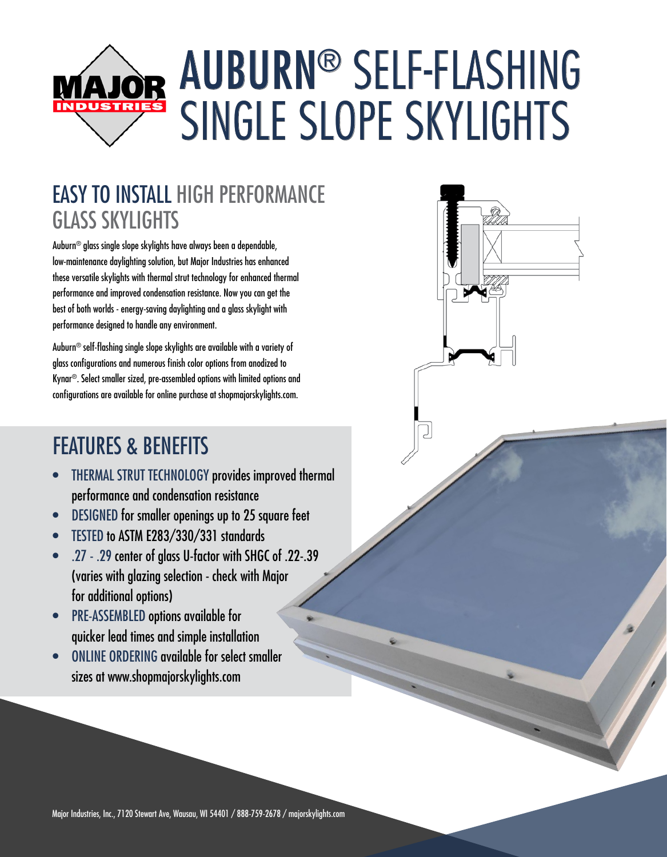# AUBURN® SELF-FLASHING MAJOR SINGLE SLOPE SKYLIGHTS

### EASY TO INSTALL HIGH PERFORMANCE GLASS SKYLIGHTS

Auburn® glass single slope skylights have always been a dependable, low-maintenance daylighting solution, but Major Industries has enhanced these versatile skylights with thermal strut technology for enhanced thermal performance and improved condensation resistance. Now you can get the best of both worlds - energy-saving daylighting and a glass skylight with performance designed to handle any environment.

Auburn® self-flashing single slope skylights are available with a variety of glass configurations and numerous finish color options from anodized to Kynar®. Select smaller sized, pre-assembled options with limited options and configurations are available for online purchase at shopmajorskylights.com.

## FEATURES & BENEFITS

- THERMAL STRUT TECHNOLOGY provides improved thermal performance and condensation resistance
- DESIGNED for smaller openings up to 25 square feet
- TESTED to ASTM E283/330/331 standards
- .27 .29 center of glass U-factor with SHGC of .22-.39 (varies with glazing selection - check with Major for additional options)
- PRE-ASSEMBLED options available for quicker lead times and simple installation
- ONLINE ORDERING available for select smaller sizes at www.shopmajorskylights.com